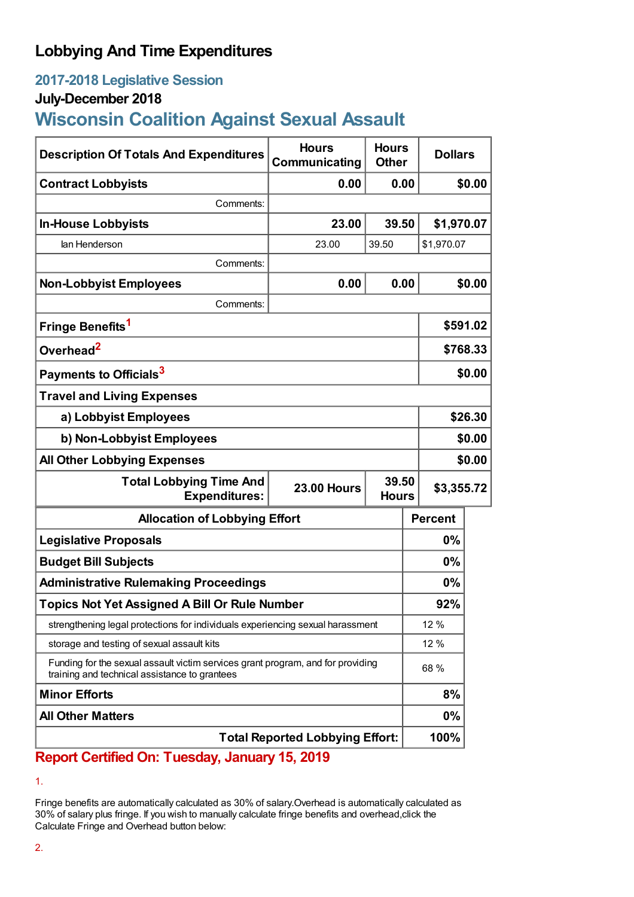## **Lobbying And Time Expenditures**

## **2017-2018 Legislative Session**

### **July-December 2018**

# **Wisconsin Coalition Against Sexual Assault**

| <b>Description Of Totals And Expenditures</b>                                                                                    | <b>Hours</b><br>Communicating               | <b>Hours</b><br><b>Other</b> | <b>Dollars</b> |          |  |
|----------------------------------------------------------------------------------------------------------------------------------|---------------------------------------------|------------------------------|----------------|----------|--|
| <b>Contract Lobbyists</b>                                                                                                        | 0.00                                        | 0.00                         |                | \$0.00   |  |
| Comments:                                                                                                                        |                                             |                              |                |          |  |
| <b>In-House Lobbyists</b>                                                                                                        | 23.00                                       | 39.50                        | \$1,970.07     |          |  |
| lan Henderson                                                                                                                    | 23.00                                       | 39.50                        | \$1,970.07     |          |  |
| Comments:                                                                                                                        |                                             |                              |                |          |  |
| <b>Non-Lobbyist Employees</b>                                                                                                    | 0.00                                        |                              | 0.00           | \$0.00   |  |
| Comments:                                                                                                                        |                                             |                              |                |          |  |
| Fringe Benefits <sup>1</sup>                                                                                                     |                                             |                              |                | \$591.02 |  |
| Overhead <sup>2</sup>                                                                                                            |                                             |                              |                | \$768.33 |  |
| Payments to Officials <sup>3</sup>                                                                                               |                                             |                              |                | \$0.00   |  |
| <b>Travel and Living Expenses</b>                                                                                                |                                             |                              |                |          |  |
| a) Lobbyist Employees                                                                                                            |                                             |                              |                | \$26.30  |  |
| b) Non-Lobbyist Employees                                                                                                        |                                             |                              |                | \$0.00   |  |
| <b>All Other Lobbying Expenses</b>                                                                                               |                                             |                              |                | \$0.00   |  |
| <b>Total Lobbying Time And</b><br><b>Expenditures:</b>                                                                           | 39.50<br><b>23.00 Hours</b><br><b>Hours</b> |                              | \$3,355.72     |          |  |
| <b>Allocation of Lobbying Effort</b>                                                                                             |                                             |                              | <b>Percent</b> |          |  |
| <b>Legislative Proposals</b>                                                                                                     |                                             |                              | $0\%$          |          |  |
| <b>Budget Bill Subjects</b>                                                                                                      |                                             |                              | $0\%$          |          |  |
| <b>Administrative Rulemaking Proceedings</b>                                                                                     |                                             |                              | $0\%$          |          |  |
| <b>Topics Not Yet Assigned A Bill Or Rule Number</b>                                                                             |                                             |                              | 92%            |          |  |
| strengthening legal protections for individuals experiencing sexual harassment                                                   |                                             |                              | 12 %           |          |  |
| storage and testing of sexual assault kits                                                                                       |                                             |                              | 12 %           |          |  |
| Funding for the sexual assault victim services grant program, and for providing<br>training and technical assistance to grantees |                                             |                              | 68 %           |          |  |
| <b>Minor Efforts</b>                                                                                                             |                                             |                              | 8%             |          |  |
| <b>All Other Matters</b>                                                                                                         |                                             |                              | $0\%$          |          |  |
| <b>Total Reported Lobbying Effort:</b>                                                                                           |                                             |                              | 100%           |          |  |

### **Report Certified On: Tuesday, January 15, 2019**

#### 1.

Fringe benefits are automatically calculated as 30% of salary.Overhead is automatically calculated as 30% of salary plus fringe. If you wish to manually calculate fringe benefits and overhead,click the Calculate Fringe and Overhead button below: